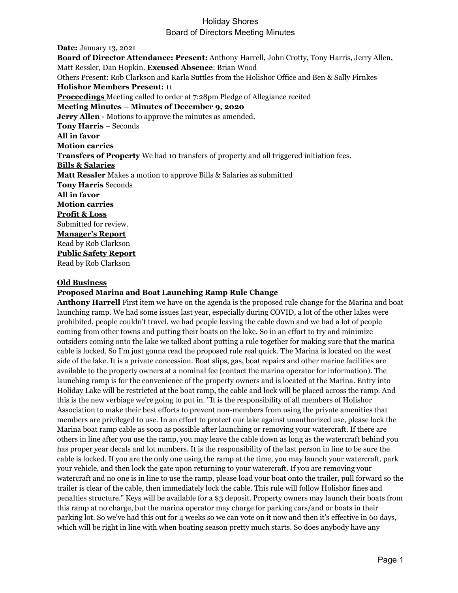**Date:** January 13, 2021 **Board of Director Attendance: Present:** Anthony Harrell, John Crotty, Tony Harris, Jerry Allen, Matt Ressler, Dan Hopkin. **Excused Absence**: Brian Wood Others Present: Rob Clarkson and Karla Suttles from the Holishor Office and Ben & Sally Firnkes **Holishor Members Present:** 11 **Proceedings** Meeting called to order at 7:28pm Pledge of Allegiance recited **Meeting Minutes – Minutes of December 9, 2020 Jerry Allen -** Motions to approve the minutes as amended. **Tony Harris** – Seconds **All in favor Motion carries Transfers of Property** We had 10 transfers of property and all triggered initiation fees. **Bills & Salaries Matt Ressler** Makes a motion to approve Bills & Salaries as submitted **Tony Harris** Seconds **All in favor Motion carries Profit & Loss** Submitted for review. **Manager's Report** Read by Rob Clarkson **Public Safety Report** Read by Rob Clarkson

#### **Old Business**

#### **Proposed Marina and Boat Launching Ramp Rule Change**

**Anthony Harrell** First item we have on the agenda is the proposed rule change for the Marina and boat launching ramp. We had some issues last year, especially during COVID, a lot of the other lakes were prohibited, people couldn't travel, we had people leaving the cable down and we had a lot of people coming from other towns and putting their boats on the lake. So in an effort to try and minimize outsiders coming onto the lake we talked about putting a rule together for making sure that the marina cable is locked. So I'm just gonna read the proposed rule real quick. The Marina is located on the west side of the lake. It is a private concession. Boat slips, gas, boat repairs and other marine facilities are available to the property owners at a nominal fee (contact the marina operator for information). The launching ramp is for the convenience of the property owners and is located at the Marina. Entry into Holiday Lake will be restricted at the boat ramp, the cable and lock will be placed across the ramp. And this is the new verbiage we're going to put in. "It is the responsibility of all members of Holishor Association to make their best efforts to prevent non-members from using the private amenities that members are privileged to use. In an effort to protect our lake against unauthorized use, please lock the Marina boat ramp cable as soon as possible after launching or removing your watercraft. If there are others in line after you use the ramp, you may leave the cable down as long as the watercraft behind you has proper year decals and lot numbers. It is the responsibility of the last person in line to be sure the cable is locked. If you are the only one using the ramp at the time, you may launch your watercraft, park your vehicle, and then lock the gate upon returning to your watercraft. If you are removing your watercraft and no one is in line to use the ramp, please load your boat onto the trailer, pull forward so the trailer is clear of the cable, then immediately lock the cable. This rule will follow Holishor fines and penalties structure." Keys will be available for a \$3 deposit. Property owners may launch their boats from this ramp at no charge, but the marina operator may charge for parking cars/and or boats in their parking lot. So we've had this out for 4 weeks so we can vote on it now and then it's effective in 60 days, which will be right in line with when boating season pretty much starts. So does anybody have any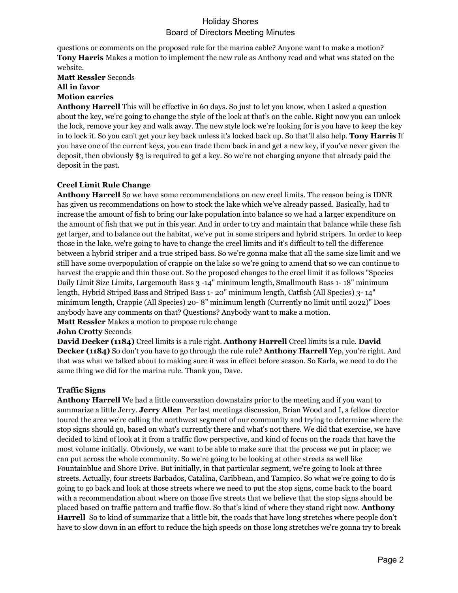questions or comments on the proposed rule for the marina cable? Anyone want to make a motion? **Tony Harris** Makes a motion to implement the new rule as Anthony read and what was stated on the website.

**Matt Ressler** Seconds

**All in favor**

**Motion carries**

**Anthony Harrell** This will be effective in 60 days. So just to let you know, when I asked a question about the key, we're going to change the style of the lock at that's on the cable. Right now you can unlock the lock, remove your key and walk away. The new style lock we're looking for is you have to keep the key in to lock it. So you can't get your key back unless it's locked back up. So that'll also help. **Tony Harris** If you have one of the current keys, you can trade them back in and get a new key, if you've never given the deposit, then obviously \$3 is required to get a key. So we're not charging anyone that already paid the deposit in the past.

# **Creel Limit Rule Change**

**Anthony Harrell** So we have some recommendations on new creel limits. The reason being is IDNR has given us recommendations on how to stock the lake which we've already passed. Basically, had to increase the amount of fish to bring our lake population into balance so we had a larger expenditure on the amount of fish that we put in this year. And in order to try and maintain that balance while these fish get larger, and to balance out the habitat, we've put in some stripers and hybrid stripers. In order to keep those in the lake, we're going to have to change the creel limits and it's difficult to tell the difference between a hybrid striper and a true striped bass. So we're gonna make that all the same size limit and we still have some overpopulation of crappie on the lake so we're going to amend that so we can continue to harvest the crappie and thin those out. So the proposed changes to the creel limit it as follows "Species Daily Limit Size Limits, Largemouth Bass 3 -14" minimum length, Smallmouth Bass 1- 18" minimum length, Hybrid Striped Bass and Striped Bass 1- 20" minimum length, Catfish (All Species) 3- 14" minimum length, Crappie (All Species) 20- 8" minimum length (Currently no limit until 2022)" Does anybody have any comments on that? Questions? Anybody want to make a motion.

**Matt Ressler** Makes a motion to propose rule change

#### **John Crotty** Seconds

**David Decker (1184)** Creel limits is a rule right. **Anthony Harrell** Creel limits is a rule. **David Decker (1184)** So don't you have to go through the rule rule? **Anthony Harrell** Yep, you're right. And that was what we talked about to making sure it was in effect before season. So Karla, we need to do the same thing we did for the marina rule. Thank you, Dave.

#### **Traffic Signs**

**Anthony Harrell** We had a little conversation downstairs prior to the meeting and if you want to summarize a little Jerry. **Jerry Allen** Per last meetings discussion, Brian Wood and I, a fellow director toured the area we're calling the northwest segment of our community and trying to determine where the stop signs should go, based on what's currently there and what's not there. We did that exercise, we have decided to kind of look at it from a traffic flow perspective, and kind of focus on the roads that have the most volume initially. Obviously, we want to be able to make sure that the process we put in place; we can put across the whole community. So we're going to be looking at other streets as well like Fountainblue and Shore Drive. But initially, in that particular segment, we're going to look at three streets. Actually, four streets Barbados, Catalina, Caribbean, and Tampico. So what we're going to do is going to go back and look at those streets where we need to put the stop signs, come back to the board with a recommendation about where on those five streets that we believe that the stop signs should be placed based on traffic pattern and traffic flow. So that's kind of where they stand right now. **Anthony Harrell** So to kind of summarize that a little bit, the roads that have long stretches where people don't have to slow down in an effort to reduce the high speeds on those long stretches we're gonna try to break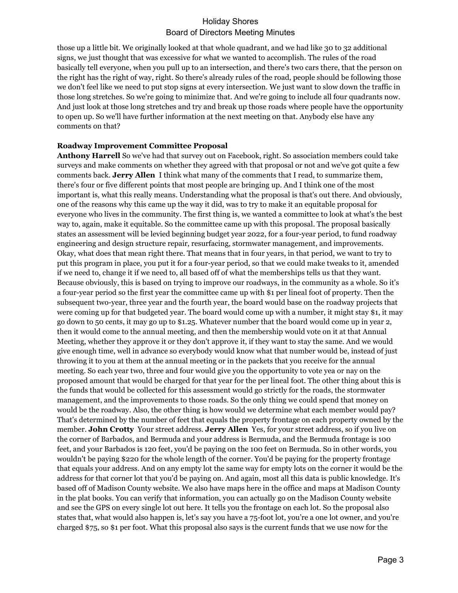those up a little bit. We originally looked at that whole quadrant, and we had like 30 to 32 additional signs, we just thought that was excessive for what we wanted to accomplish. The rules of the road basically tell everyone, when you pull up to an intersection, and there's two cars there, that the person on the right has the right of way, right. So there's already rules of the road, people should be following those we don't feel like we need to put stop signs at every intersection. We just want to slow down the traffic in those long stretches. So we're going to minimize that. And we're going to include all four quadrants now. And just look at those long stretches and try and break up those roads where people have the opportunity to open up. So we'll have further information at the next meeting on that. Anybody else have any comments on that?

#### **Roadway Improvement Committee Proposal**

**Anthony Harrell** So we've had that survey out on Facebook, right. So association members could take surveys and make comments on whether they agreed with that proposal or not and we've got quite a few comments back. **Jerry Allen** I think what many of the comments that I read, to summarize them, there's four or five different points that most people are bringing up. And I think one of the most important is, what this really means. Understanding what the proposal is that's out there. And obviously, one of the reasons why this came up the way it did, was to try to make it an equitable proposal for everyone who lives in the community. The first thing is, we wanted a committee to look at what's the best way to, again, make it equitable. So the committee came up with this proposal. The proposal basically states an assessment will be levied beginning budget year 2022, for a four-year period, to fund roadway engineering and design structure repair, resurfacing, stormwater management, and improvements. Okay, what does that mean right there. That means that in four years, in that period, we want to try to put this program in place, you put it for a four-year period, so that we could make tweaks to it, amended if we need to, change it if we need to, all based off of what the memberships tells us that they want. Because obviously, this is based on trying to improve our roadways, in the community as a whole. So it's a four-year period so the first year the committee came up with \$1 per lineal foot of property. Then the subsequent two-year, three year and the fourth year, the board would base on the roadway projects that were coming up for that budgeted year. The board would come up with a number, it might stay \$1, it may go down to 50 cents, it may go up to \$1.25. Whatever number that the board would come up in year 2, then it would come to the annual meeting, and then the membership would vote on it at that Annual Meeting, whether they approve it or they don't approve it, if they want to stay the same. And we would give enough time, well in advance so everybody would know what that number would be, instead of just throwing it to you at them at the annual meeting or in the packets that you receive for the annual meeting. So each year two, three and four would give you the opportunity to vote yea or nay on the proposed amount that would be charged for that year for the per lineal foot. The other thing about this is the funds that would be collected for this assessment would go strictly for the roads, the stormwater management, and the improvements to those roads. So the only thing we could spend that money on would be the roadway. Also, the other thing is how would we determine what each member would pay? That's determined by the number of feet that equals the property frontage on each property owned by the member. **John Crotty** Your street address. **Jerry Allen** Yes, for your street address, so if you live on the corner of Barbados, and Bermuda and your address is Bermuda, and the Bermuda frontage is 100 feet, and your Barbados is 120 feet, you'd be paying on the 100 feet on Bermuda. So in other words, you wouldn't be paying \$220 for the whole length of the corner. You'd be paying for the property frontage that equals your address. And on any empty lot the same way for empty lots on the corner it would be the address for that corner lot that you'd be paying on. And again, most all this data is public knowledge. It's based off of Madison County website. We also have maps here in the office and maps at Madison County in the plat books. You can verify that information, you can actually go on the Madison County website and see the GPS on every single lot out here. It tells you the frontage on each lot. So the proposal also states that, what would also happen is, let's say you have a 75-foot lot, you're a one lot owner, and you're charged \$75, so \$1 per foot. What this proposal also says is the current funds that we use now for the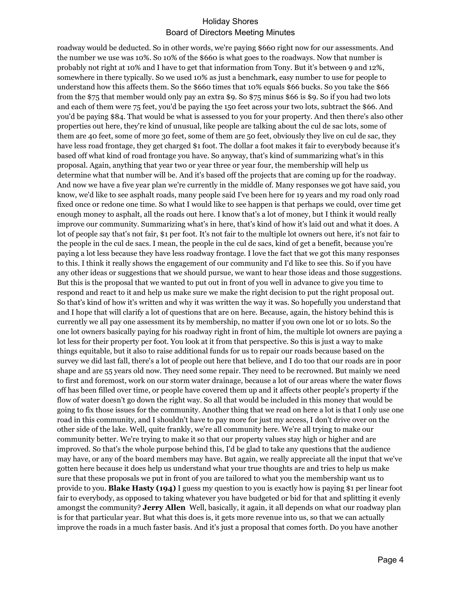roadway would be deducted. So in other words, we're paying \$660 right now for our assessments. And the number we use was 10%. So 10% of the \$660 is what goes to the roadways. Now that number is probably not right at 10% and I have to get that information from Tony. But it's between 9 and 12%, somewhere in there typically. So we used 10% as just a benchmark, easy number to use for people to understand how this affects them. So the \$660 times that 10% equals \$66 bucks. So you take the \$66 from the \$75 that member would only pay an extra \$9. So \$75 minus \$66 is \$9. So if you had two lots and each of them were 75 feet, you'd be paying the 150 feet across your two lots, subtract the \$66. And you'd be paying \$84. That would be what is assessed to you for your property. And then there's also other properties out here, they're kind of unusual, like people are talking about the cul de sac lots, some of them are 40 feet, some of more 30 feet, some of them are 50 feet, obviously they live on cul de sac, they have less road frontage, they get charged \$1 foot. The dollar a foot makes it fair to everybody because it's based off what kind of road frontage you have. So anyway, that's kind of summarizing what's in this proposal. Again, anything that year two or year three or year four, the membership will help us determine what that number will be. And it's based off the projects that are coming up for the roadway. And now we have a five year plan we're currently in the middle of. Many responses we got have said, you know, we'd like to see asphalt roads, many people said I've been here for 19 years and my road only road fixed once or redone one time. So what I would like to see happen is that perhaps we could, over time get enough money to asphalt, all the roads out here. I know that's a lot of money, but I think it would really improve our community. Summarizing what's in here, that's kind of how it's laid out and what it does. A lot of people say that's not fair, \$1 per foot. It's not fair to the multiple lot owners out here, it's not fair to the people in the cul de sacs. I mean, the people in the cul de sacs, kind of get a benefit, because you're paying a lot less because they have less roadway frontage. I love the fact that we got this many responses to this. I think it really shows the engagement of our community and I'd like to see this. So if you have any other ideas or suggestions that we should pursue, we want to hear those ideas and those suggestions. But this is the proposal that we wanted to put out in front of you well in advance to give you time to respond and react to it and help us make sure we make the right decision to put the right proposal out. So that's kind of how it's written and why it was written the way it was. So hopefully you understand that and I hope that will clarify a lot of questions that are on here. Because, again, the history behind this is currently we all pay one assessment its by membership, no matter if you own one lot or 10 lots. So the one lot owners basically paying for his roadway right in front of him, the multiple lot owners are paying a lot less for their property per foot. You look at it from that perspective. So this is just a way to make things equitable, but it also to raise additional funds for us to repair our roads because based on the survey we did last fall, there's a lot of people out here that believe, and I do too that our roads are in poor shape and are 55 years old now. They need some repair. They need to be recrowned. But mainly we need to first and foremost, work on our storm water drainage, because a lot of our areas where the water flows off has been filled over time, or people have covered them up and it affects other people's property if the flow of water doesn't go down the right way. So all that would be included in this money that would be going to fix those issues for the community. Another thing that we read on here a lot is that I only use one road in this community, and I shouldn't have to pay more for just my access, I don't drive over on the other side of the lake. Well, quite frankly, we're all community here. We're all trying to make our community better. We're trying to make it so that our property values stay high or higher and are improved. So that's the whole purpose behind this, I'd be glad to take any questions that the audience may have, or any of the board members may have. But again, we really appreciate all the input that we've gotten here because it does help us understand what your true thoughts are and tries to help us make sure that these proposals we put in front of you are tailored to what you the membership want us to provide to you. **Blake Hasty (194)** I guess my question to you is exactly how is paying \$1 per linear foot fair to everybody, as opposed to taking whatever you have budgeted or bid for that and splitting it evenly amongst the community? **Jerry Allen** Well, basically, it again, it all depends on what our roadway plan is for that particular year. But what this does is, it gets more revenue into us, so that we can actually improve the roads in a much faster basis. And it's just a proposal that comes forth. Do you have another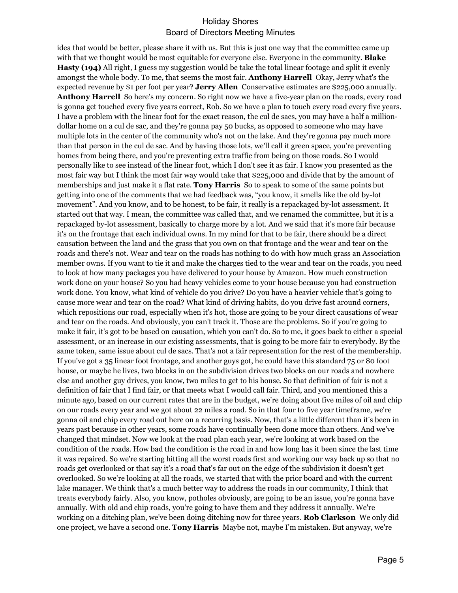idea that would be better, please share it with us. But this is just one way that the committee came up with that we thought would be most equitable for everyone else. Everyone in the community. **Blake Hasty (194)** All right, I guess my suggestion would be take the total linear footage and split it evenly amongst the whole body. To me, that seems the most fair. **Anthony Harrell** Okay, Jerry what's the expected revenue by \$1 per foot per year? **Jerry Allen** Conservative estimates are \$225,000 annually. **Anthony Harrell** So here's my concern. So right now we have a five-year plan on the roads, every road is gonna get touched every five years correct, Rob. So we have a plan to touch every road every five years. I have a problem with the linear foot for the exact reason, the cul de sacs, you may have a half a milliondollar home on a cul de sac, and they're gonna pay 50 bucks, as opposed to someone who may have multiple lots in the center of the community who's not on the lake. And they're gonna pay much more than that person in the cul de sac. And by having those lots, we'll call it green space, you're preventing homes from being there, and you're preventing extra traffic from being on those roads. So I would personally like to see instead of the linear foot, which I don't see it as fair. I know you presented as the most fair way but I think the most fair way would take that \$225,000 and divide that by the amount of memberships and just make it a flat rate. **Tony Harris** So to speak to some of the same points but getting into one of the comments that we had feedback was, "you know, it smells like the old by-lot movement". And you know, and to be honest, to be fair, it really is a repackaged by-lot assessment. It started out that way. I mean, the committee was called that, and we renamed the committee, but it is a repackaged by-lot assessment, basically to charge more by a lot. And we said that it's more fair because it's on the frontage that each individual owns. In my mind for that to be fair, there should be a direct causation between the land and the grass that you own on that frontage and the wear and tear on the roads and there's not. Wear and tear on the roads has nothing to do with how much grass an Association member owns. If you want to tie it and make the charges tied to the wear and tear on the roads, you need to look at how many packages you have delivered to your house by Amazon. How much construction work done on your house? So you had heavy vehicles come to your house because you had construction work done. You know, what kind of vehicle do you drive? Do you have a heavier vehicle that's going to cause more wear and tear on the road? What kind of driving habits, do you drive fast around corners, which repositions our road, especially when it's hot, those are going to be your direct causations of wear and tear on the roads. And obviously, you can't track it. Those are the problems. So if you're going to make it fair, it's got to be based on causation, which you can't do. So to me, it goes back to either a special assessment, or an increase in our existing assessments, that is going to be more fair to everybody. By the same token, same issue about cul de sacs. That's not a fair representation for the rest of the membership. If you've got a 35 linear foot frontage, and another guys got, he could have this standard 75 or 80 foot house, or maybe he lives, two blocks in on the subdivision drives two blocks on our roads and nowhere else and another guy drives, you know, two miles to get to his house. So that definition of fair is not a definition of fair that I find fair, or that meets what I would call fair. Third, and you mentioned this a minute ago, based on our current rates that are in the budget, we're doing about five miles of oil and chip on our roads every year and we got about 22 miles a road. So in that four to five year timeframe, we're gonna oil and chip every road out here on a recurring basis. Now, that's a little different than it's been in years past because in other years, some roads have continually been done more than others. And we've changed that mindset. Now we look at the road plan each year, we're looking at work based on the condition of the roads. How bad the condition is the road in and how long has it been since the last time it was repaired. So we're starting hitting all the worst roads first and working our way back up so that no roads get overlooked or that say it's a road that's far out on the edge of the subdivision it doesn't get overlooked. So we're looking at all the roads, we started that with the prior board and with the current lake manager. We think that's a much better way to address the roads in our community, I think that treats everybody fairly. Also, you know, potholes obviously, are going to be an issue, you're gonna have annually. With old and chip roads, you're going to have them and they address it annually. We're working on a ditching plan, we've been doing ditching now for three years. **Rob Clarkson** We only did one project, we have a second one. **Tony Harris** Maybe not, maybe I'm mistaken. But anyway, we're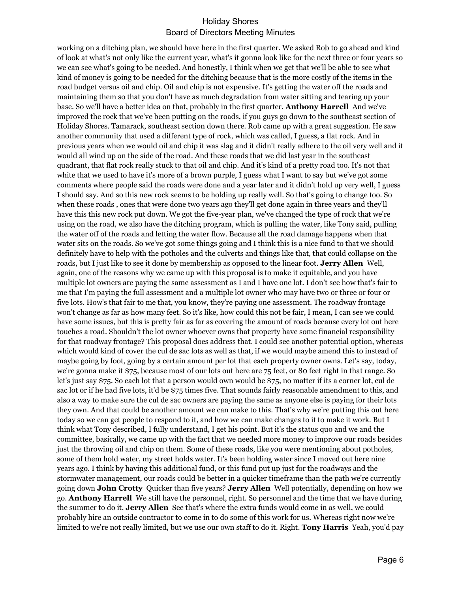working on a ditching plan, we should have here in the first quarter. We asked Rob to go ahead and kind of look at what's not only like the current year, what's it gonna look like for the next three or four years so we can see what's going to be needed. And honestly, I think when we get that we'll be able to see what kind of money is going to be needed for the ditching because that is the more costly of the items in the road budget versus oil and chip. Oil and chip is not expensive. It's getting the water off the roads and maintaining them so that you don't have as much degradation from water sitting and tearing up your base. So we'll have a better idea on that, probably in the first quarter. **Anthony Harrell** And we've improved the rock that we've been putting on the roads, if you guys go down to the southeast section of Holiday Shores. Tamarack, southeast section down there. Rob came up with a great suggestion. He saw another community that used a different type of rock, which was called, I guess, a flat rock. And in previous years when we would oil and chip it was slag and it didn't really adhere to the oil very well and it would all wind up on the side of the road. And these roads that we did last year in the southeast quadrant, that flat rock really stuck to that oil and chip. And it's kind of a pretty road too. It's not that white that we used to have it's more of a brown purple, I guess what I want to say but we've got some comments where people said the roads were done and a year later and it didn't hold up very well, I guess I should say. And so this new rock seems to be holding up really well. So that's going to change too. So when these roads , ones that were done two years ago they'll get done again in three years and they'll have this this new rock put down. We got the five-year plan, we've changed the type of rock that we're using on the road, we also have the ditching program, which is pulling the water, like Tony said, pulling the water off of the roads and letting the water flow. Because all the road damage happens when that water sits on the roads. So we've got some things going and I think this is a nice fund to that we should definitely have to help with the potholes and the culverts and things like that, that could collapse on the roads, but I just like to see it done by membership as opposed to the linear foot. **Jerry Allen** Well, again, one of the reasons why we came up with this proposal is to make it equitable, and you have multiple lot owners are paying the same assessment as I and I have one lot. I don't see how that's fair to me that I'm paying the full assessment and a multiple lot owner who may have two or three or four or five lots. How's that fair to me that, you know, they're paying one assessment. The roadway frontage won't change as far as how many feet. So it's like, how could this not be fair, I mean, I can see we could have some issues, but this is pretty fair as far as covering the amount of roads because every lot out here touches a road. Shouldn't the lot owner whoever owns that property have some financial responsibility for that roadway frontage? This proposal does address that. I could see another potential option, whereas which would kind of cover the cul de sac lots as well as that, if we would maybe amend this to instead of maybe going by foot, going by a certain amount per lot that each property owner owns. Let's say, today, we're gonna make it \$75, because most of our lots out here are 75 feet, or 80 feet right in that range. So let's just say \$75. So each lot that a person would own would be \$75, no matter if its a corner lot, cul de sac lot or if he had five lots, it'd be \$75 times five. That sounds fairly reasonable amendment to this, and also a way to make sure the cul de sac owners are paying the same as anyone else is paying for their lots they own. And that could be another amount we can make to this. That's why we're putting this out here today so we can get people to respond to it, and how we can make changes to it to make it work. But I think what Tony described, I fully understand, I get his point. But it's the status quo and we and the committee, basically, we came up with the fact that we needed more money to improve our roads besides just the throwing oil and chip on them. Some of these roads, like you were mentioning about potholes, some of them hold water, my street holds water. It's been holding water since I moved out here nine years ago. I think by having this additional fund, or this fund put up just for the roadways and the stormwater management, our roads could be better in a quicker timeframe than the path we're currently going down **John Crotty** Quicker than five years? **Jerry Allen** Well potentially, depending on how we go. **Anthony Harrell** We still have the personnel, right. So personnel and the time that we have during the summer to do it. **Jerry Allen** See that's where the extra funds would come in as well, we could probably hire an outside contractor to come in to do some of this work for us. Whereas right now we're limited to we're not really limited, but we use our own staff to do it. Right. **Tony Harris** Yeah, you'd pay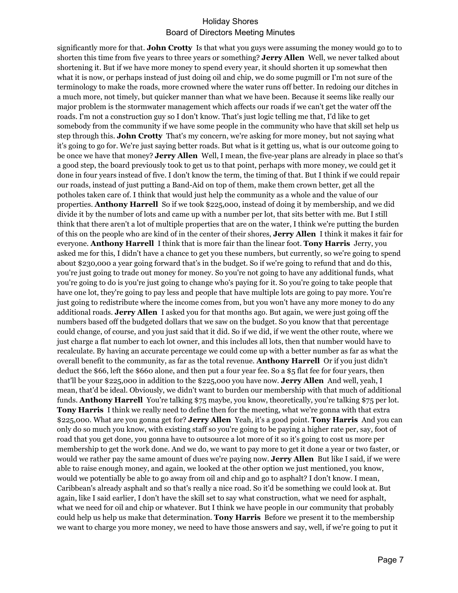significantly more for that. **John Crotty** Is that what you guys were assuming the money would go to to shorten this time from five years to three years or something? **Jerry Allen** Well, we never talked about shortening it. But if we have more money to spend every year, it should shorten it up somewhat then what it is now, or perhaps instead of just doing oil and chip, we do some pugmill or I'm not sure of the terminology to make the roads, more crowned where the water runs off better. In redoing our ditches in a much more, not timely, but quicker manner than what we have been. Because it seems like really our major problem is the stormwater management which affects our roads if we can't get the water off the roads. I'm not a construction guy so I don't know. That's just logic telling me that, I'd like to get somebody from the community if we have some people in the community who have that skill set help us step through this. **John Crotty** That's my concern, we're asking for more money, but not saying what it's going to go for. We're just saying better roads. But what is it getting us, what is our outcome going to be once we have that money? **Jerry Allen** Well, I mean, the five-year plans are already in place so that's a good step, the board previously took to get us to that point, perhaps with more money, we could get it done in four years instead of five. I don't know the term, the timing of that. But I think if we could repair our roads, instead of just putting a Band-Aid on top of them, make them crown better, get all the potholes taken care of. I think that would just help the community as a whole and the value of our properties. **Anthony Harrell** So if we took \$225,000, instead of doing it by membership, and we did divide it by the number of lots and came up with a number per lot, that sits better with me. But I still think that there aren't a lot of multiple properties that are on the water, I think we're putting the burden of this on the people who are kind of in the center of their shores, **Jerry Allen** I think it makes it fair for everyone. **Anthony Harrell** I think that is more fair than the linear foot. **Tony Harris** Jerry, you asked me for this, I didn't have a chance to get you these numbers, but currently, so we're going to spend about \$230,000 a year going forward that's in the budget. So if we're going to refund that and do this, you're just going to trade out money for money. So you're not going to have any additional funds, what you're going to do is you're just going to change who's paying for it. So you're going to take people that have one lot, they're going to pay less and people that have multiple lots are going to pay more. You're just going to redistribute where the income comes from, but you won't have any more money to do any additional roads. **Jerry Allen** I asked you for that months ago. But again, we were just going off the numbers based off the budgeted dollars that we saw on the budget. So you know that that percentage could change, of course, and you just said that it did. So if we did, if we went the other route, where we just charge a flat number to each lot owner, and this includes all lots, then that number would have to recalculate. By having an accurate percentage we could come up with a better number as far as what the overall benefit to the community, as far as the total revenue. **Anthony Harrell** Or if you just didn't deduct the \$66, left the \$660 alone, and then put a four year fee. So a \$5 flat fee for four years, then that'll be your \$225,000 in addition to the \$225,000 you have now. **Jerry Allen** And well, yeah, I mean, that'd be ideal. Obviously, we didn't want to burden our membership with that much of additional funds. **Anthony Harrell** You're talking \$75 maybe, you know, theoretically, you're talking \$75 per lot. **Tony Harris** I think we really need to define then for the meeting, what we're gonna with that extra \$225,000. What are you gonna get for? **Jerry Allen** Yeah, it's a good point. **Tony Harris** And you can only do so much you know, with existing staff so you're going to be paying a higher rate per, say, foot of road that you get done, you gonna have to outsource a lot more of it so it's going to cost us more per membership to get the work done. And we do, we want to pay more to get it done a year or two faster, or would we rather pay the same amount of dues we're paying now. **Jerry Allen** But like I said, if we were able to raise enough money, and again, we looked at the other option we just mentioned, you know, would we potentially be able to go away from oil and chip and go to asphalt? I don't know. I mean, Caribbean's already asphalt and so that's really a nice road. So it'd be something we could look at. But again, like I said earlier, I don't have the skill set to say what construction, what we need for asphalt, what we need for oil and chip or whatever. But I think we have people in our community that probably could help us help us make that determination. **Tony Harris** Before we present it to the membership we want to charge you more money, we need to have those answers and say, well, if we're going to put it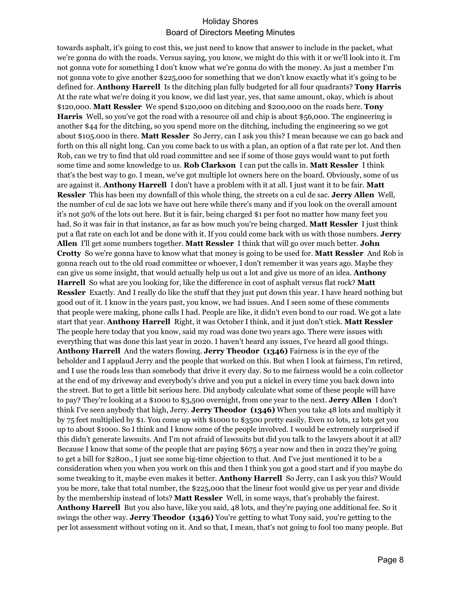towards asphalt, it's going to cost this, we just need to know that answer to include in the packet, what we're gonna do with the roads. Versus saying, you know, we might do this with it or we'll look into it. I'm not gonna vote for something I don't know what we're gonna do with the money. As just a member I'm not gonna vote to give another \$225,000 for something that we don't know exactly what it's going to be defined for. **Anthony Harrell** Is the ditching plan fully budgeted for all four quadrants? **Tony Harris** At the rate what we're doing it you know, we did last year, yes, that same amount, okay, which is about \$120,000. **Matt Ressler** We spend \$120,000 on ditching and \$200,000 on the roads here. **Tony Harris** Well, so you've got the road with a resource oil and chip is about \$56,000. The engineering is another \$44 for the ditching, so you spend more on the ditching, including the engineering so we got about \$105.000 in there. **Matt Ressler** So Jerry, can I ask you this? I mean because we can go back and forth on this all night long. Can you come back to us with a plan, an option of a flat rate per lot. And then Rob, can we try to find that old road committee and see if some of those guys would want to put forth some time and some knowledge to us. **Rob Clarkson** I can put the calls in. **Matt Ressler** I think that's the best way to go. I mean, we've got multiple lot owners here on the board. Obviously, some of us are against it. **Anthony Harrell** I don't have a problem with it at all. I just want it to be fair. **Matt Ressler** This has been my downfall of this whole thing, the streets on a cul de sac. **Jerry Allen** Well, the number of cul de sac lots we have out here while there's many and if you look on the overall amount it's not 50% of the lots out here. But it is fair, being charged \$1 per foot no matter how many feet you had. So it was fair in that instance, as far as how much you're being charged. **Matt Ressler** I just think put a flat rate on each lot and be done with it. If you could come back with us with those numbers. **Jerry Allen** I'll get some numbers together. **Matt Ressler** I think that will go over much better. **John Crotty** So we're gonna have to know what that money is going to be used for. **Matt Ressler** And Rob is gonna reach out to the old road committee or whoever, I don't remember it was years ago. Maybe they can give us some insight, that would actually help us out a lot and give us more of an idea. **Anthony Harrell** So what are you looking for, like the difference in cost of asphalt versus flat rock? **Matt Ressler** Exactly. And I really do like the stuff that they just put down this year. I have heard nothing but good out of it. I know in the years past, you know, we had issues. And I seen some of these comments that people were making, phone calls I had. People are like, it didn't even bond to our road. We got a late start that year. **Anthony Harrell** Right, it was October I think, and it just don't stick. **Matt Ressler** The people here today that you know, said my road was done two years ago. There were issues with everything that was done this last year in 2020. I haven't heard any issues, I've heard all good things. **Anthony Harrell** And the waters flowing. **Jerry Theodor (1346)** Fairness is in the eye of the beholder and I applaud Jerry and the people that worked on this. But when I look at fairness, I'm retired, and I use the roads less than somebody that drive it every day. So to me fairness would be a coin collector at the end of my driveway and everybody's drive and you put a nickel in every time you back down into the street. But to get a little bit serious here. Did anybody calculate what some of these people will have to pay? They're looking at a \$1000 to \$3,500 overnight, from one year to the next. **Jerry Allen** I don't think I've seen anybody that high, Jerry. **Jerry Theodor (1346)** When you take 48 lots and multiply it by 75 feet multiplied by \$1. You come up with \$1000 to \$3500 pretty easily. Even 10 lots, 12 lots get you up to about \$1000. So I think and I know some of the people involved. I would be extremely surprised if this didn't generate lawsuits. And I'm not afraid of lawsuits but did you talk to the lawyers about it at all? Because I know that some of the people that are paying \$675 a year now and then in 2022 they're going to get a bill for \$2800., I just see some big-time objection to that. And I've just mentioned it to be a consideration when you when you work on this and then I think you got a good start and if you maybe do some tweaking to it, maybe even makes it better. **Anthony Harrell** So Jerry, can I ask you this? Would you be more, take that total number, the \$225,000 that the linear foot would give us per year and divide by the membership instead of lots? **Matt Ressler** Well, in some ways, that's probably the fairest. **Anthony Harrell** But you also have, like you said, 48 lots, and they're paying one additional fee. So it swings the other way. **Jerry Theodor (1346)** You're getting to what Tony said, you're getting to the per lot assessment without voting on it. And so that, I mean, that's not going to fool too many people. But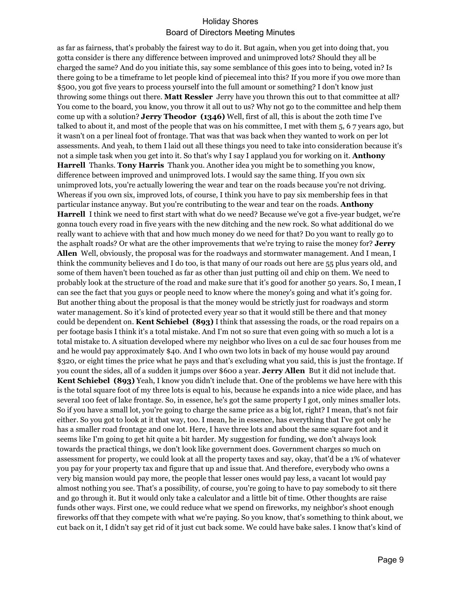as far as fairness, that's probably the fairest way to do it. But again, when you get into doing that, you gotta consider is there any difference between improved and unimproved lots? Should they all be charged the same? And do you initiate this, say some semblance of this goes into to being, voted in? Is there going to be a timeframe to let people kind of piecemeal into this? If you more if you owe more than \$500, you got five years to process yourself into the full amount or something? I don't know just throwing some things out there. **Matt Ressler** Jerry have you thrown this out to that committee at all? You come to the board, you know, you throw it all out to us? Why not go to the committee and help them come up with a solution? **Jerry Theodor (1346)** Well, first of all, this is about the 20th time I've talked to about it, and most of the people that was on his committee, I met with them 5, 6 7 years ago, but it wasn't on a per lineal foot of frontage. That was that was back when they wanted to work on per lot assessments. And yeah, to them I laid out all these things you need to take into consideration because it's not a simple task when you get into it. So that's why I say I applaud you for working on it. **Anthony Harrell** Thanks. **Tony Harris** Thank you. Another idea you might be to something you know, difference between improved and unimproved lots. I would say the same thing. If you own six unimproved lots, you're actually lowering the wear and tear on the roads because you're not driving. Whereas if you own six, improved lots, of course, I think you have to pay six membership fees in that particular instance anyway. But you're contributing to the wear and tear on the roads. **Anthony Harrell** I think we need to first start with what do we need? Because we've got a five-year budget, we're gonna touch every road in five years with the new ditching and the new rock. So what additional do we really want to achieve with that and how much money do we need for that? Do you want to really go to the asphalt roads? Or what are the other improvements that we're trying to raise the money for? **Jerry Allen** Well, obviously, the proposal was for the roadways and stormwater management. And I mean, I think the community believes and I do too, is that many of our roads out here are 55 plus years old, and some of them haven't been touched as far as other than just putting oil and chip on them. We need to probably look at the structure of the road and make sure that it's good for another 50 years. So, I mean, I can see the fact that you guys or people need to know where the money's going and what it's going for. But another thing about the proposal is that the money would be strictly just for roadways and storm water management. So it's kind of protected every year so that it would still be there and that money could be dependent on. **Kent Schiebel (893)** I think that assessing the roads, or the road repairs on a per footage basis I think it's a total mistake. And I'm not so sure that even going with so much a lot is a total mistake to. A situation developed where my neighbor who lives on a cul de sac four houses from me and he would pay approximately \$40. And I who own two lots in back of my house would pay around \$320, or eight times the price what he pays and that's excluding what you said, this is just the frontage. If you count the sides, all of a sudden it jumps over \$600 a year. **Jerry Allen** But it did not include that. **Kent Schiebel (893)** Yeah, I know you didn't include that. One of the problems we have here with this is the total square foot of my three lots is equal to his, because he expands into a nice wide place, and has several 100 feet of lake frontage. So, in essence, he's got the same property I got, only mines smaller lots. So if you have a small lot, you're going to charge the same price as a big lot, right? I mean, that's not fair either. So you got to look at it that way, too. I mean, he in essence, has everything that I've got only he has a smaller road frontage and one lot. Here, I have three lots and about the same square foot and it seems like I'm going to get hit quite a bit harder. My suggestion for funding, we don't always look towards the practical things, we don't look like government does. Government charges so much on assessment for property, we could look at all the property taxes and say, okay, that'd be a 1% of whatever you pay for your property tax and figure that up and issue that. And therefore, everybody who owns a very big mansion would pay more, the people that lesser ones would pay less, a vacant lot would pay almost nothing you see. That's a possibility, of course, you're going to have to pay somebody to sit there and go through it. But it would only take a calculator and a little bit of time. Other thoughts are raise funds other ways. First one, we could reduce what we spend on fireworks, my neighbor's shoot enough fireworks off that they compete with what we're paying. So you know, that's something to think about, we cut back on it, I didn't say get rid of it just cut back some. We could have bake sales. I know that's kind of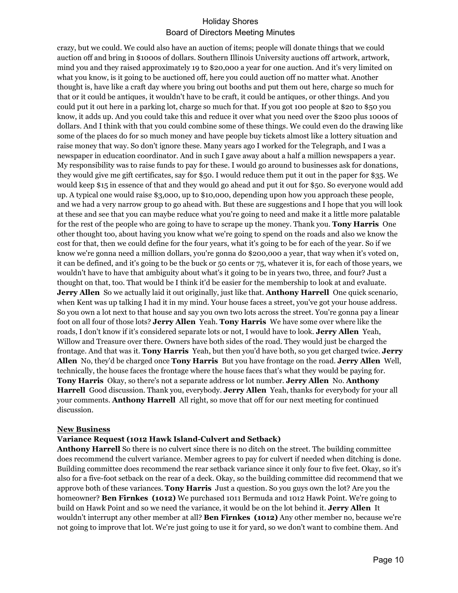crazy, but we could. We could also have an auction of items; people will donate things that we could auction off and bring in \$1000s of dollars. Southern Illinois University auctions off artwork, artwork, mind you and they raised approximately 19 to \$20,000 a year for one auction. And it's very limited on what you know, is it going to be auctioned off, here you could auction off no matter what. Another thought is, have like a craft day where you bring out booths and put them out here, charge so much for that or it could be antiques, it wouldn't have to be craft, it could be antiques, or other things. And you could put it out here in a parking lot, charge so much for that. If you got 100 people at \$20 to \$50 you know, it adds up. And you could take this and reduce it over what you need over the \$200 plus 1000s of dollars. And I think with that you could combine some of these things. We could even do the drawing like some of the places do for so much money and have people buy tickets almost like a lottery situation and raise money that way. So don't ignore these. Many years ago I worked for the Telegraph, and I was a newspaper in education coordinator. And in such I gave away about a half a million newspapers a year. My responsibility was to raise funds to pay for these. I would go around to businesses ask for donations, they would give me gift certificates, say for \$50. I would reduce them put it out in the paper for \$35. We would keep \$15 in essence of that and they would go ahead and put it out for \$50. So everyone would add up. A typical one would raise \$3,000, up to \$10,000, depending upon how you approach these people, and we had a very narrow group to go ahead with. But these are suggestions and I hope that you will look at these and see that you can maybe reduce what you're going to need and make it a little more palatable for the rest of the people who are going to have to scrape up the money. Thank you. **Tony Harris** One other thought too, about having you know what we're going to spend on the roads and also we know the cost for that, then we could define for the four years, what it's going to be for each of the year. So if we know we're gonna need a million dollars, you're gonna do \$200,000 a year, that way when it's voted on, it can be defined, and it's going to be the buck or 50 cents or 75, whatever it is, for each of those years, we wouldn't have to have that ambiguity about what's it going to be in years two, three, and four? Just a thought on that, too. That would be I think it'd be easier for the membership to look at and evaluate. **Jerry Allen** So we actually laid it out originally, just like that. **Anthony Harrell** One quick scenario, when Kent was up talking I had it in my mind. Your house faces a street, you've got your house address. So you own a lot next to that house and say you own two lots across the street. You're gonna pay a linear foot on all four of those lots? **Jerry Allen** Yeah. **Tony Harris** We have some over where like the roads, I don't know if it's considered separate lots or not, I would have to look. **Jerry Allen** Yeah, Willow and Treasure over there. Owners have both sides of the road. They would just be charged the frontage. And that was it. **Tony Harris** Yeah, but then you'd have both, so you get charged twice. **Jerry Allen** No, they'd be charged once **Tony Harris** But you have frontage on the road. **Jerry Allen** Well, technically, the house faces the frontage where the house faces that's what they would be paying for. **Tony Harris** Okay, so there's not a separate address or lot number. **Jerry Allen** No. **Anthony Harrell** Good discussion. Thank you, everybody. **Jerry Allen** Yeah, thanks for everybody for your all your comments. **Anthony Harrell** All right, so move that off for our next meeting for continued discussion.

#### **New Business**

#### **Variance Request (1012 Hawk Island-Culvert and Setback)**

**Anthony Harrell** So there is no culvert since there is no ditch on the street. The building committee does recommend the culvert variance. Member agrees to pay for culvert if needed when ditching is done. Building committee does recommend the rear setback variance since it only four to five feet. Okay, so it's also for a five-foot setback on the rear of a deck. Okay, so the building committee did recommend that we approve both of these variances. **Tony Harris** Just a question. So you guys own the lot? Are you the homeowner? **Ben Firnkes (1012)** We purchased 1011 Bermuda and 1012 Hawk Point. We're going to build on Hawk Point and so we need the variance, it would be on the lot behind it. **Jerry Allen** It wouldn't interrupt any other member at all? **Ben Firnkes (1012)** Any other member no, because we're not going to improve that lot. We're just going to use it for yard, so we don't want to combine them. And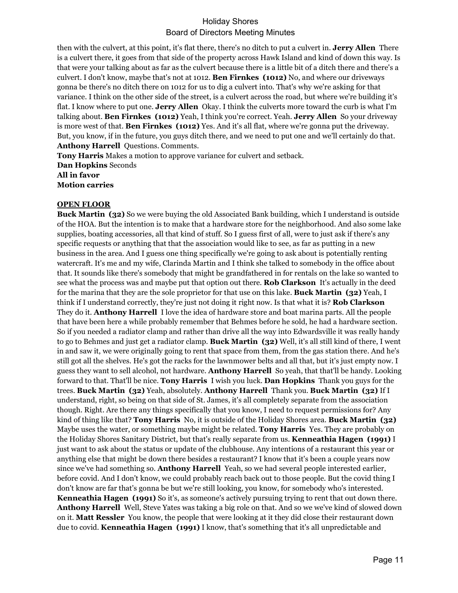then with the culvert, at this point, it's flat there, there's no ditch to put a culvert in. **Jerry Allen** There is a culvert there, it goes from that side of the property across Hawk Island and kind of down this way. Is that were your talking about as far as the culvert because there is a little bit of a ditch there and there's a culvert. I don't know, maybe that's not at 1012. **Ben Firnkes (1012)** No, and where our driveways gonna be there's no ditch there on 1012 for us to dig a culvert into. That's why we're asking for that variance. I think on the other side of the street, is a culvert across the road, but where we're building it's flat. I know where to put one. **Jerry Allen** Okay. I think the culverts more toward the curb is what I'm talking about. **Ben Firnkes (1012)** Yeah, I think you're correct. Yeah. **Jerry Allen** So your driveway is more west of that. **Ben Firnkes (1012)** Yes. And it's all flat, where we're gonna put the driveway. But, you know, if in the future, you guys ditch there, and we need to put one and we'll certainly do that. **Anthony Harrell** Questions. Comments.

**Tony Harris** Makes a motion to approve variance for culvert and setback. **Dan Hopkins** Seconds **All in favor Motion carries**

#### **OPEN FLOOR**

**Buck Martin (32)** So we were buying the old Associated Bank building, which I understand is outside of the HOA. But the intention is to make that a hardware store for the neighborhood. And also some lake supplies, boating accessories, all that kind of stuff. So I guess first of all, were to just ask if there's any specific requests or anything that that the association would like to see, as far as putting in a new business in the area. And I guess one thing specifically we're going to ask about is potentially renting watercraft. It's me and my wife, Clarinda Martin and I think she talked to somebody in the office about that. It sounds like there's somebody that might be grandfathered in for rentals on the lake so wanted to see what the process was and maybe put that option out there. **Rob Clarkson** It's actually in the deed for the marina that they are the sole proprietor for that use on this lake. **Buck Martin (32)** Yeah, I think if I understand correctly, they're just not doing it right now. Is that what it is? **Rob Clarkson** They do it. **Anthony Harrell** I love the idea of hardware store and boat marina parts. All the people that have been here a while probably remember that Behmes before he sold, he had a hardware section. So if you needed a radiator clamp and rather than drive all the way into Edwardsville it was really handy to go to Behmes and just get a radiator clamp. **Buck Martin (32)** Well, it's all still kind of there, I went in and saw it, we were originally going to rent that space from them, from the gas station there. And he's still got all the shelves. He's got the racks for the lawnmower belts and all that, but it's just empty now. I guess they want to sell alcohol, not hardware. **Anthony Harrell** So yeah, that that'll be handy. Looking forward to that. That'll be nice. **Tony Harris** I wish you luck. **Dan Hopkins** Thank you guys for the trees. **Buck Martin (32)** Yeah, absolutely. **Anthony Harrell** Thank you. **Buck Martin (32)** If I understand, right, so being on that side of St. James, it's all completely separate from the association though. Right. Are there any things specifically that you know, I need to request permissions for? Any kind of thing like that? **Tony Harris** No, it is outside of the Holiday Shores area. **Buck Martin (32)** Maybe uses the water, or something maybe might be related. **Tony Harris** Yes. They are probably on the Holiday Shores Sanitary District, but that's really separate from us. **Kenneathia Hagen (1991)** I just want to ask about the status or update of the clubhouse. Any intentions of a restaurant this year or anything else that might be down there besides a restaurant? I know that it's been a couple years now since we've had something so. **Anthony Harrell** Yeah, so we had several people interested earlier, before covid. And I don't know, we could probably reach back out to those people. But the covid thing I don't know are far that's gonna be but we're still looking, you know, for somebody who's interested. **Kenneathia Hagen (1991)** So it's, as someone's actively pursuing trying to rent that out down there. **Anthony Harrell** Well, Steve Yates was taking a big role on that. And so we we've kind of slowed down on it. **Matt Ressler** You know, the people that were looking at it they did close their restaurant down due to covid. **Kenneathia Hagen (1991)** I know, that's something that it's all unpredictable and